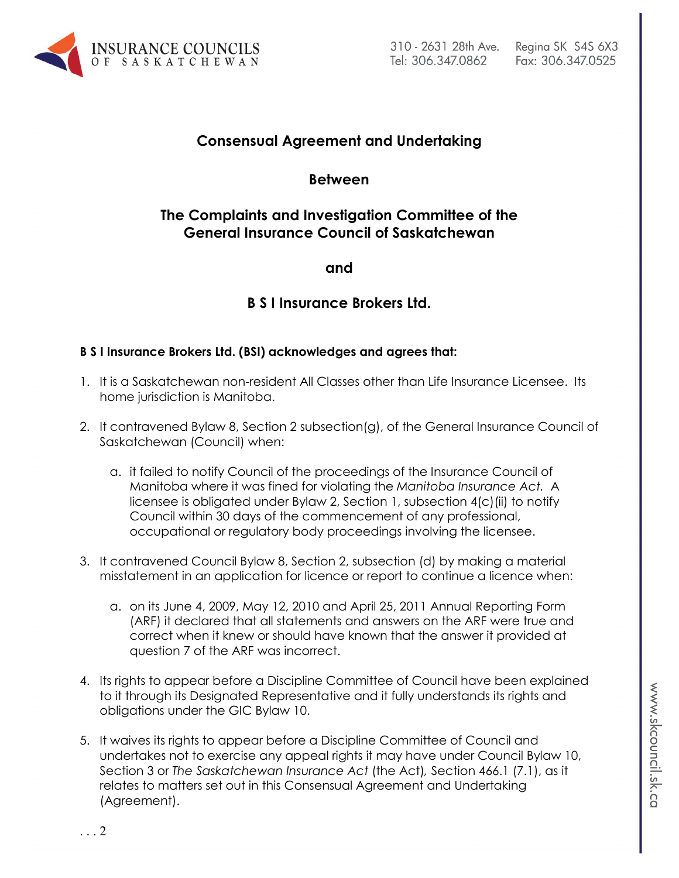

# **Consensual Agreement and Undertaking**

## **Between**

# **The Complaints and Investigation Committee of the General Insurance Council of Saskatchewan**

**and** 

# **B S I Insurance Brokers Ltd.**

### **B S I Insurance Brokers Ltd. (BSI) acknowledges and agrees that:**

- 1. It is a Saskatchewan non-resident All Classes other than Life Insurance Licensee. Its home jurisdiction is Manitoba.
- 2. It contravened Bylaw 8, Section 2 subsection(g), of the General Insurance Council of Saskatchewan (Council) when:
	- a. it failed to notify Council of the proceedings of the Insurance Council of Manitoba where it was fined for violating the *Manitoba Insurance Act.* A licensee is obligated under Bylaw 2, Section 1, subsection 4(c)(ii) to notify Council within 30 days of the commencement of any professional, occupational or regulatory body proceedings involving the licensee.
- 3. It contravened Council Bylaw 8, Section 2, subsection (d) by making a material misstatement in an application for licence or report to continue a licence when:
	- a. on its June 4, 2009, May 12, 2010 and April 25, 2011 Annual Reporting Form (ARF) it declared that all statements and answers on the ARF were true and correct when it knew or should have known that the answer it provided at question 7 of the ARF was incorrect.
- 4. Its rights to appear before a Discipline Committee of Council have been explained to it through its Designated Representative and it fully understands its rights and obligations under the GIC Bylaw 10.
- 5. It waives its rights to appear before a Discipline Committee of Council and undertakes not to exercise any appeal rights it may have under Council Bylaw 10, Section 3 or *The Saskatchewan Insurance Act* (the Act)*,* Section 466.1 (7.1), as it relates to matters set out in this Consensual Agreement and Undertaking (Agreement).